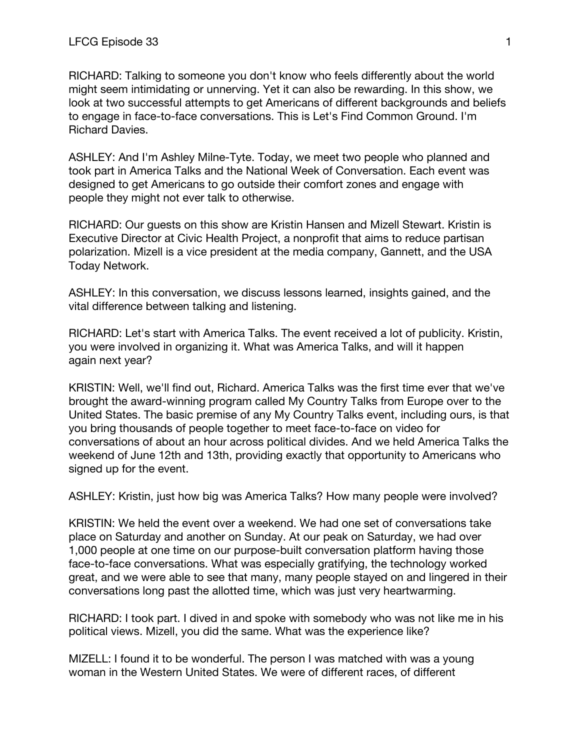RICHARD: Talking to someone you don't know who feels differently about the world might seem intimidating or unnerving. Yet it can also be rewarding. In this show, we look at two successful attempts to get Americans of different backgrounds and beliefs to engage in face-to-face conversations. This is Let's Find Common Ground. I'm Richard Davies.

ASHLEY: And I'm Ashley Milne-Tyte. Today, we meet two people who planned and took part in America Talks and the National Week of Conversation. Each event was designed to get Americans to go outside their comfort zones and engage with people they might not ever talk to otherwise.

RICHARD: Our guests on this show are Kristin Hansen and Mizell Stewart. Kristin is Executive Director at Civic Health Project, a nonprofit that aims to reduce partisan polarization. Mizell is a vice president at the media company, Gannett, and the USA Today Network.

ASHLEY: In this conversation, we discuss lessons learned, insights gained, and the vital difference between talking and listening.

RICHARD: Let's start with America Talks. The event received a lot of publicity. Kristin, you were involved in organizing it. What was America Talks, and will it happen again next year?

KRISTIN: Well, we'll find out, Richard. America Talks was the first time ever that we've brought the award-winning program called My Country Talks from Europe over to the United States. The basic premise of any My Country Talks event, including ours, is that you bring thousands of people together to meet face-to-face on video for conversations of about an hour across political divides. And we held America Talks the weekend of June 12th and 13th, providing exactly that opportunity to Americans who signed up for the event.

ASHLEY: Kristin, just how big was America Talks? How many people were involved?

KRISTIN: We held the event over a weekend. We had one set of conversations take place on Saturday and another on Sunday. At our peak on Saturday, we had over 1,000 people at one time on our purpose-built conversation platform having those face-to-face conversations. What was especially gratifying, the technology worked great, and we were able to see that many, many people stayed on and lingered in their conversations long past the allotted time, which was just very heartwarming.

RICHARD: I took part. I dived in and spoke with somebody who was not like me in his political views. Mizell, you did the same. What was the experience like?

MIZELL: I found it to be wonderful. The person I was matched with was a young woman in the Western United States. We were of different races, of different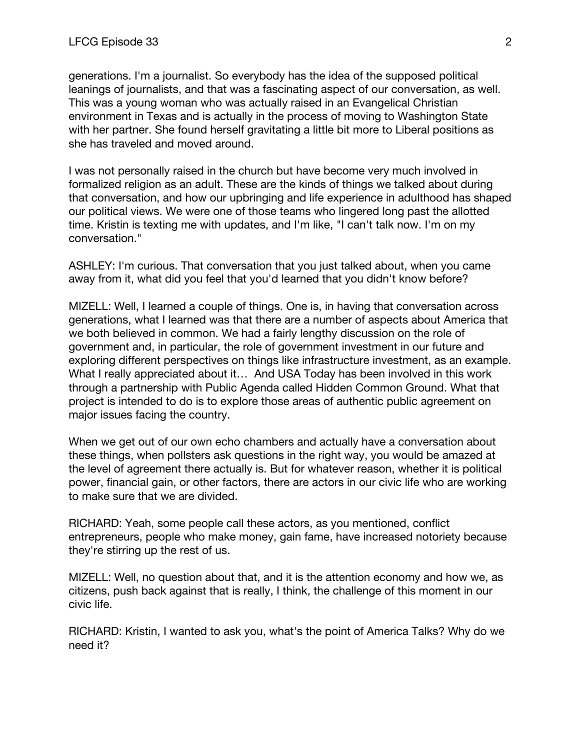generations. I'm a journalist. So everybody has the idea of the supposed political leanings of journalists, and that was a fascinating aspect of our conversation, as well. This was a young woman who was actually raised in an Evangelical Christian environment in Texas and is actually in the process of moving to Washington State with her partner. She found herself gravitating a little bit more to Liberal positions as she has traveled and moved around.

I was not personally raised in the church but have become very much involved in formalized religion as an adult. These are the kinds of things we talked about during that conversation, and how our upbringing and life experience in adulthood has shaped our political views. We were one of those teams who lingered long past the allotted time. Kristin is texting me with updates, and I'm like, "I can't talk now. I'm on my conversation."

ASHLEY: I'm curious. That conversation that you just talked about, when you came away from it, what did you feel that you'd learned that you didn't know before?

MIZELL: Well, I learned a couple of things. One is, in having that conversation across generations, what I learned was that there are a number of aspects about America that we both believed in common. We had a fairly lengthy discussion on the role of government and, in particular, the role of government investment in our future and exploring different perspectives on things like infrastructure investment, as an example. What I really appreciated about it... And USA Today has been involved in this work through a partnership with Public Agenda called Hidden Common Ground. What that project is intended to do is to explore those areas of authentic public agreement on major issues facing the country.

When we get out of our own echo chambers and actually have a conversation about these things, when pollsters ask questions in the right way, you would be amazed at the level of agreement there actually is. But for whatever reason, whether it is political power, financial gain, or other factors, there are actors in our civic life who are working to make sure that we are divided.

RICHARD: Yeah, some people call these actors, as you mentioned, conflict entrepreneurs, people who make money, gain fame, have increased notoriety because they're stirring up the rest of us.

MIZELL: Well, no question about that, and it is the attention economy and how we, as citizens, push back against that is really, I think, the challenge of this moment in our civic life.

RICHARD: Kristin, I wanted to ask you, what's the point of America Talks? Why do we need it?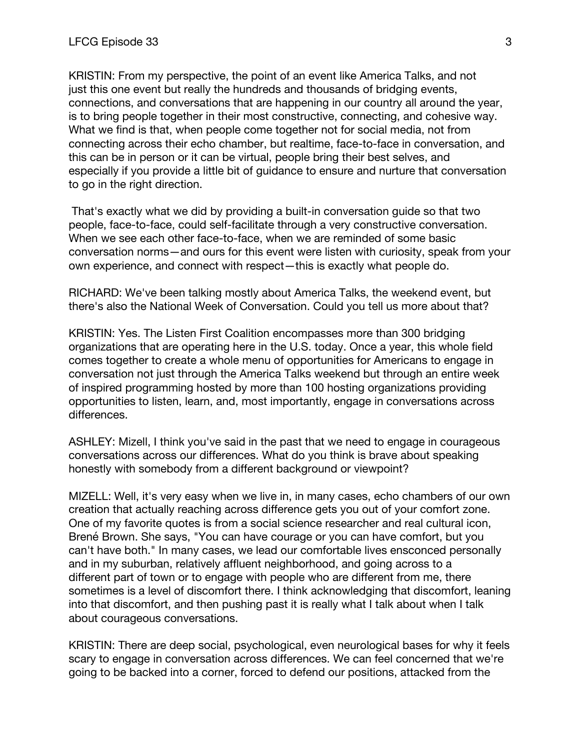KRISTIN: From my perspective, the point of an event like America Talks, and not just this one event but really the hundreds and thousands of bridging events, connections, and conversations that are happening in our country all around the year, is to bring people together in their most constructive, connecting, and cohesive way. What we find is that, when people come together not for social media, not from connecting across their echo chamber, but realtime, face-to-face in conversation, and this can be in person or it can be virtual, people bring their best selves, and especially if you provide a little bit of guidance to ensure and nurture that conversation to go in the right direction.

That's exactly what we did by providing a built-in conversation guide so that two people, face-to-face, could self-facilitate through a very constructive conversation. When we see each other face-to-face, when we are reminded of some basic conversation norms—and ours for this event were listen with curiosity, speak from your own experience, and connect with respect—this is exactly what people do.

RICHARD: We've been talking mostly about America Talks, the weekend event, but there's also the National Week of Conversation. Could you tell us more about that?

KRISTIN: Yes. The Listen First Coalition encompasses more than 300 bridging organizations that are operating here in the U.S. today. Once a year, this whole field comes together to create a whole menu of opportunities for Americans to engage in conversation not just through the America Talks weekend but through an entire week of inspired programming hosted by more than 100 hosting organizations providing opportunities to listen, learn, and, most importantly, engage in conversations across differences.

ASHLEY: Mizell, I think you've said in the past that we need to engage in courageous conversations across our differences. What do you think is brave about speaking honestly with somebody from a different background or viewpoint?

MIZELL: Well, it's very easy when we live in, in many cases, echo chambers of our own creation that actually reaching across difference gets you out of your comfort zone. One of my favorite quotes is from a social science researcher and real cultural icon, Brené Brown. She says, "You can have courage or you can have comfort, but you can't have both." In many cases, we lead our comfortable lives ensconced personally and in my suburban, relatively affluent neighborhood, and going across to a different part of town or to engage with people who are different from me, there sometimes is a level of discomfort there. I think acknowledging that discomfort, leaning into that discomfort, and then pushing past it is really what I talk about when I talk about courageous conversations.

KRISTIN: There are deep social, psychological, even neurological bases for why it feels scary to engage in conversation across differences. We can feel concerned that we're going to be backed into a corner, forced to defend our positions, attacked from the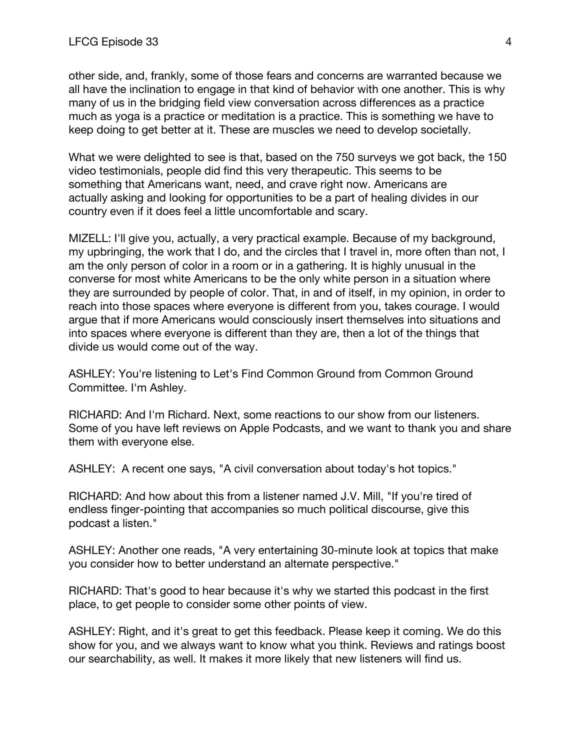other side, and, frankly, some of those fears and concerns are warranted because we all have the inclination to engage in that kind of behavior with one another. This is why many of us in the bridging field view conversation across differences as a practice much as yoga is a practice or meditation is a practice. This is something we have to keep doing to get better at it. These are muscles we need to develop societally.

What we were delighted to see is that, based on the 750 surveys we got back, the 150 video testimonials, people did find this very therapeutic. This seems to be something that Americans want, need, and crave right now. Americans are actually asking and looking for opportunities to be a part of healing divides in our country even if it does feel a little uncomfortable and scary.

MIZELL: I'll give you, actually, a very practical example. Because of my background, my upbringing, the work that I do, and the circles that I travel in, more often than not, I am the only person of color in a room or in a gathering. It is highly unusual in the converse for most white Americans to be the only white person in a situation where they are surrounded by people of color. That, in and of itself, in my opinion, in order to reach into those spaces where everyone is different from you, takes courage. I would argue that if more Americans would consciously insert themselves into situations and into spaces where everyone is different than they are, then a lot of the things that divide us would come out of the way.

ASHLEY: You're listening to Let's Find Common Ground from Common Ground Committee. I'm Ashley.

RICHARD: And I'm Richard. Next, some reactions to our show from our listeners. Some of you have left reviews on Apple Podcasts, and we want to thank you and share them with everyone else.

ASHLEY: A recent one says, "A civil conversation about today's hot topics."

RICHARD: And how about this from a listener named J.V. Mill, "If you're tired of endless finger-pointing that accompanies so much political discourse, give this podcast a listen."

ASHLEY: Another one reads, "A very entertaining 30-minute look at topics that make you consider how to better understand an alternate perspective."

RICHARD: That's good to hear because it's why we started this podcast in the first place, to get people to consider some other points of view.

ASHLEY: Right, and it's great to get this feedback. Please keep it coming. We do this show for you, and we always want to know what you think. Reviews and ratings boost our searchability, as well. It makes it more likely that new listeners will find us.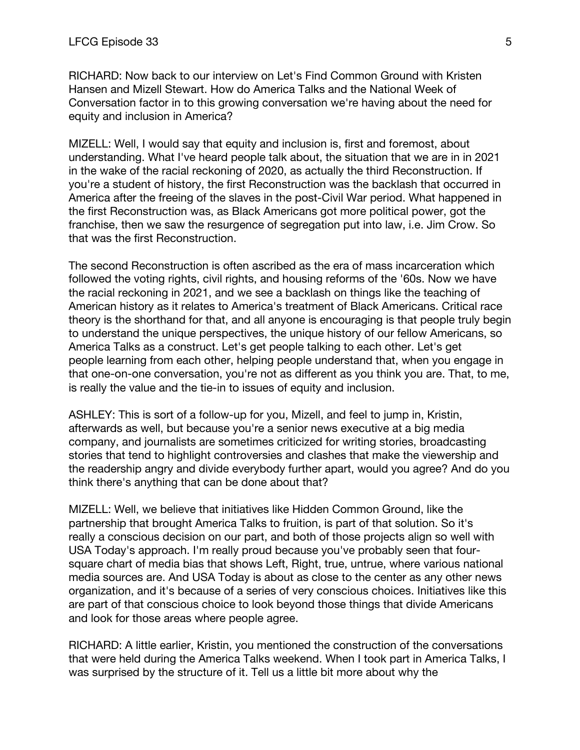RICHARD: Now back to our interview on Let's Find Common Ground with Kristen Hansen and Mizell Stewart. How do America Talks and the National Week of Conversation factor in to this growing conversation we're having about the need for equity and inclusion in America?

MIZELL: Well, I would say that equity and inclusion is, first and foremost, about understanding. What I've heard people talk about, the situation that we are in in 2021 in the wake of the racial reckoning of 2020, as actually the third Reconstruction. If you're a student of history, the first Reconstruction was the backlash that occurred in America after the freeing of the slaves in the post-Civil War period. What happened in the first Reconstruction was, as Black Americans got more political power, got the franchise, then we saw the resurgence of segregation put into law, i.e. Jim Crow. So that was the first Reconstruction.

The second Reconstruction is often ascribed as the era of mass incarceration which followed the voting rights, civil rights, and housing reforms of the '60s. Now we have the racial reckoning in 2021, and we see a backlash on things like the teaching of American history as it relates to America's treatment of Black Americans. Critical race theory is the shorthand for that, and all anyone is encouraging is that people truly begin to understand the unique perspectives, the unique history of our fellow Americans, so America Talks as a construct. Let's get people talking to each other. Let's get people learning from each other, helping people understand that, when you engage in that one-on-one conversation, you're not as different as you think you are. That, to me, is really the value and the tie-in to issues of equity and inclusion.

ASHLEY: This is sort of a follow-up for you, Mizell, and feel to jump in, Kristin, afterwards as well, but because you're a senior news executive at a big media company, and journalists are sometimes criticized for writing stories, broadcasting stories that tend to highlight controversies and clashes that make the viewership and the readership angry and divide everybody further apart, would you agree? And do you think there's anything that can be done about that?

MIZELL: Well, we believe that initiatives like Hidden Common Ground, like the partnership that brought America Talks to fruition, is part of that solution. So it's really a conscious decision on our part, and both of those projects align so well with USA Today's approach. I'm really proud because you've probably seen that foursquare chart of media bias that shows Left, Right, true, untrue, where various national media sources are. And USA Today is about as close to the center as any other news organization, and it's because of a series of very conscious choices. Initiatives like this are part of that conscious choice to look beyond those things that divide Americans and look for those areas where people agree.

RICHARD: A little earlier, Kristin, you mentioned the construction of the conversations that were held during the America Talks weekend. When I took part in America Talks, I was surprised by the structure of it. Tell us a little bit more about why the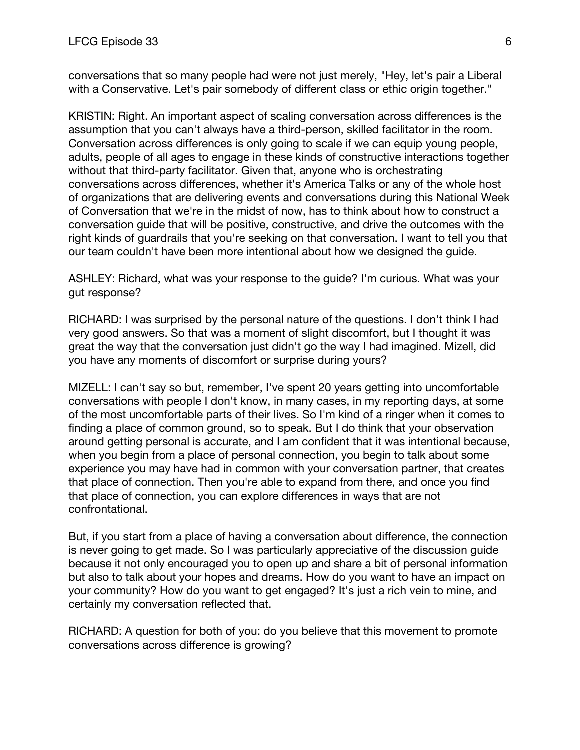conversations that so many people had were not just merely, "Hey, let's pair a Liberal with a Conservative. Let's pair somebody of different class or ethic origin together."

KRISTIN: Right. An important aspect of scaling conversation across differences is the assumption that you can't always have a third-person, skilled facilitator in the room. Conversation across differences is only going to scale if we can equip young people, adults, people of all ages to engage in these kinds of constructive interactions together without that third-party facilitator. Given that, anyone who is orchestrating conversations across differences, whether it's America Talks or any of the whole host of organizations that are delivering events and conversations during this National Week of Conversation that we're in the midst of now, has to think about how to construct a conversation guide that will be positive, constructive, and drive the outcomes with the right kinds of guardrails that you're seeking on that conversation. I want to tell you that our team couldn't have been more intentional about how we designed the guide.

ASHLEY: Richard, what was your response to the guide? I'm curious. What was your gut response?

RICHARD: I was surprised by the personal nature of the questions. I don't think I had very good answers. So that was a moment of slight discomfort, but I thought it was great the way that the conversation just didn't go the way I had imagined. Mizell, did you have any moments of discomfort or surprise during yours?

MIZELL: I can't say so but, remember, I've spent 20 years getting into uncomfortable conversations with people I don't know, in many cases, in my reporting days, at some of the most uncomfortable parts of their lives. So I'm kind of a ringer when it comes to finding a place of common ground, so to speak. But I do think that your observation around getting personal is accurate, and I am confident that it was intentional because, when you begin from a place of personal connection, you begin to talk about some experience you may have had in common with your conversation partner, that creates that place of connection. Then you're able to expand from there, and once you find that place of connection, you can explore differences in ways that are not confrontational.

But, if you start from a place of having a conversation about difference, the connection is never going to get made. So I was particularly appreciative of the discussion guide because it not only encouraged you to open up and share a bit of personal information but also to talk about your hopes and dreams. How do you want to have an impact on your community? How do you want to get engaged? It's just a rich vein to mine, and certainly my conversation reflected that.

RICHARD: A question for both of you: do you believe that this movement to promote conversations across difference is growing?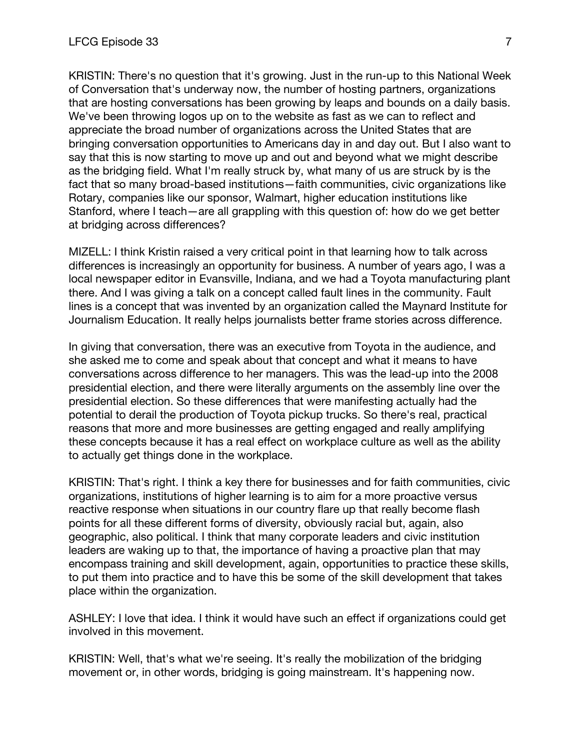KRISTIN: There's no question that it's growing. Just in the run-up to this National Week of Conversation that's underway now, the number of hosting partners, organizations that are hosting conversations has been growing by leaps and bounds on a daily basis. We've been throwing logos up on to the website as fast as we can to reflect and appreciate the broad number of organizations across the United States that are bringing conversation opportunities to Americans day in and day out. But I also want to say that this is now starting to move up and out and beyond what we might describe as the bridging field. What I'm really struck by, what many of us are struck by is the fact that so many broad-based institutions—faith communities, civic organizations like Rotary, companies like our sponsor, Walmart, higher education institutions like Stanford, where I teach—are all grappling with this question of: how do we get better at bridging across differences?

MIZELL: I think Kristin raised a very critical point in that learning how to talk across differences is increasingly an opportunity for business. A number of years ago, I was a local newspaper editor in Evansville, Indiana, and we had a Toyota manufacturing plant there. And I was giving a talk on a concept called fault lines in the community. Fault lines is a concept that was invented by an organization called the Maynard Institute for Journalism Education. It really helps journalists better frame stories across difference.

In giving that conversation, there was an executive from Toyota in the audience, and she asked me to come and speak about that concept and what it means to have conversations across difference to her managers. This was the lead-up into the 2008 presidential election, and there were literally arguments on the assembly line over the presidential election. So these differences that were manifesting actually had the potential to derail the production of Toyota pickup trucks. So there's real, practical reasons that more and more businesses are getting engaged and really amplifying these concepts because it has a real effect on workplace culture as well as the ability to actually get things done in the workplace.

KRISTIN: That's right. I think a key there for businesses and for faith communities, civic organizations, institutions of higher learning is to aim for a more proactive versus reactive response when situations in our country flare up that really become flash points for all these different forms of diversity, obviously racial but, again, also geographic, also political. I think that many corporate leaders and civic institution leaders are waking up to that, the importance of having a proactive plan that may encompass training and skill development, again, opportunities to practice these skills, to put them into practice and to have this be some of the skill development that takes place within the organization.

ASHLEY: I love that idea. I think it would have such an effect if organizations could get involved in this movement.

KRISTIN: Well, that's what we're seeing. It's really the mobilization of the bridging movement or, in other words, bridging is going mainstream. It's happening now.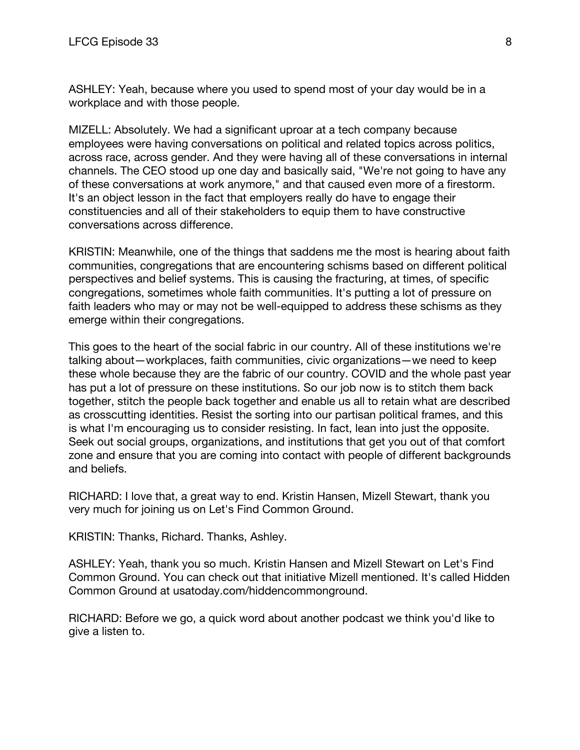ASHLEY: Yeah, because where you used to spend most of your day would be in a workplace and with those people.

MIZELL: Absolutely. We had a significant uproar at a tech company because employees were having conversations on political and related topics across politics, across race, across gender. And they were having all of these conversations in internal channels. The CEO stood up one day and basically said, "We're not going to have any of these conversations at work anymore," and that caused even more of a firestorm. It's an object lesson in the fact that employers really do have to engage their constituencies and all of their stakeholders to equip them to have constructive conversations across difference.

KRISTIN: Meanwhile, one of the things that saddens me the most is hearing about faith communities, congregations that are encountering schisms based on different political perspectives and belief systems. This is causing the fracturing, at times, of specific congregations, sometimes whole faith communities. It's putting a lot of pressure on faith leaders who may or may not be well-equipped to address these schisms as they emerge within their congregations.

This goes to the heart of the social fabric in our country. All of these institutions we're talking about—workplaces, faith communities, civic organizations—we need to keep these whole because they are the fabric of our country. COVID and the whole past year has put a lot of pressure on these institutions. So our job now is to stitch them back together, stitch the people back together and enable us all to retain what are described as crosscutting identities. Resist the sorting into our partisan political frames, and this is what I'm encouraging us to consider resisting. In fact, lean into just the opposite. Seek out social groups, organizations, and institutions that get you out of that comfort zone and ensure that you are coming into contact with people of different backgrounds and beliefs.

RICHARD: I love that, a great way to end. Kristin Hansen, Mizell Stewart, thank you very much for joining us on Let's Find Common Ground.

KRISTIN: Thanks, Richard. Thanks, Ashley.

ASHLEY: Yeah, thank you so much. Kristin Hansen and Mizell Stewart on Let's Find Common Ground. You can check out that initiative Mizell mentioned. It's called Hidden Common Ground at usatoday.com/hiddencommonground.

RICHARD: Before we go, a quick word about another podcast we think you'd like to give a listen to.